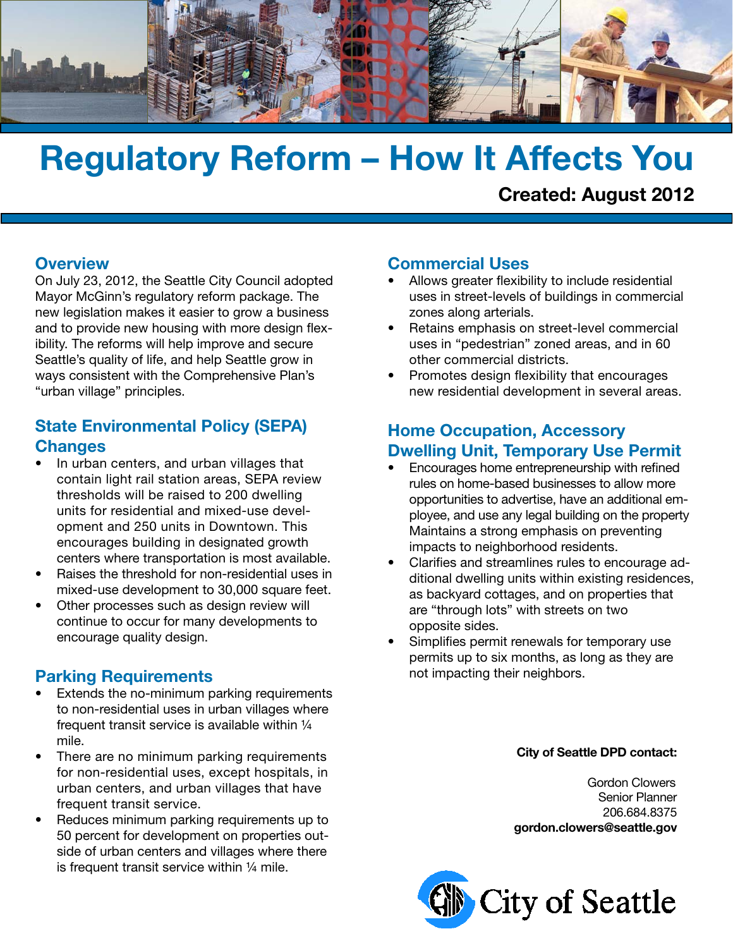

# **Regulatory Reform – How It Affects You**

**Created: August 2012**

#### **Overview**

On July 23, 2012, the Seattle City Council adopted Mayor McGinn's regulatory reform package. The new legislation makes it easier to grow a business and to provide new housing with more design flexibility. The reforms will help improve and secure Seattle's quality of life, and help Seattle grow in ways consistent with the Comprehensive Plan's "urban village" principles.

# **State Environmental Policy (SEPA) Changes**

- In urban centers, and urban villages that contain light rail station areas, SEPA review thresholds will be raised to 200 dwelling units for residential and mixed-use development and 250 units in Downtown. This encourages building in designated growth centers where transportation is most available.
- Raises the threshold for non-residential uses in mixed-use development to 30,000 square feet.
- Other processes such as design review will continue to occur for many developments to encourage quality design.

### **Parking Requirements**

- Extends the no-minimum parking requirements to non-residential uses in urban villages where frequent transit service is available within ¼ mile.
- There are no minimum parking requirements for non-residential uses, except hospitals, in urban centers, and urban villages that have frequent transit service.
- Reduces minimum parking requirements up to 50 percent for development on properties outside of urban centers and villages where there is frequent transit service within ¼ mile.

#### **Commercial Uses**

- Allows greater flexibility to include residential uses in street-levels of buildings in commercial zones along arterials.
- Retains emphasis on street-level commercial uses in "pedestrian" zoned areas, and in 60 other commercial districts.
- Promotes design flexibility that encourages new residential development in several areas.

# **Home Occupation, Accessory Dwelling Unit, Temporary Use Permit**

- Encourages home entrepreneurship with refined rules on home-based businesses to allow more opportunities to advertise, have an additional employee, and use any legal building on the property Maintains a strong emphasis on preventing impacts to neighborhood residents.
- Clarifies and streamlines rules to encourage additional dwelling units within existing residences, as backyard cottages, and on properties that are "through lots" with streets on two opposite sides.
- Simplifies permit renewals for temporary use permits up to six months, as long as they are not impacting their neighbors.

#### **City of Seattle DPD contact:**

 Gordon Clowers Senior Planner 206.684.8375 **gordon.clowers@seattle.gov**